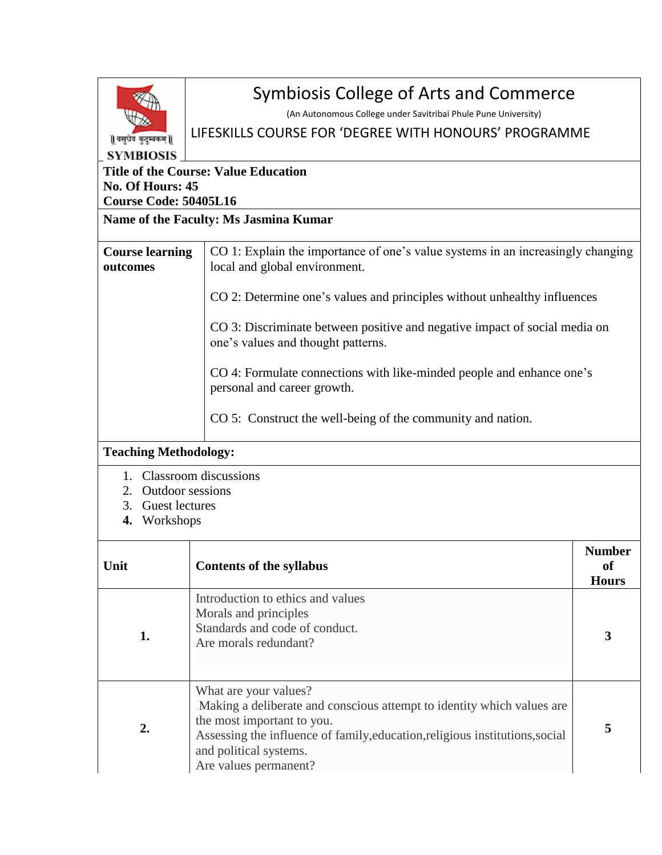| ∥वसुधव कुटुम्बकम् ∥ |
|---------------------|
| ABIOSIS<br>SYF      |

# Symbiosis College of Arts and Commerce

(An Autonomous College under Savitribai Phule Pune University)

## LIFESKILLS COURSE FOR 'DEGREE WITH HONOURS' PROGRAMME

#### **Title of the Course: Value Education No. Of Hours: 45 Course Code: 50405L16**

## **Name of the Faculty: Ms Jasmina Kumar**

| <b>Course learning</b><br>outcomes | CO 1: Explain the importance of one's value systems in an increasingly changing<br>local and global environment. |
|------------------------------------|------------------------------------------------------------------------------------------------------------------|
|                                    | CO 2: Determine one's values and principles without unhealthy influences                                         |
|                                    | CO 3: Discriminate between positive and negative impact of social media on<br>one's values and thought patterns. |
|                                    | CO 4: Formulate connections with like-minded people and enhance one's<br>personal and career growth.             |
|                                    | CO 5: Construct the well-being of the community and nation.                                                      |

### **Teaching Methodology:**

- 1. Classroom discussions
- 2. Outdoor sessions
- 3. Guest lectures
- **4.** Workshops

| Unit | <b>Contents of the syllabus</b>                                                                                                                                                                                                                                  | <b>Number</b><br>of<br><b>Hours</b> |
|------|------------------------------------------------------------------------------------------------------------------------------------------------------------------------------------------------------------------------------------------------------------------|-------------------------------------|
| 1.   | Introduction to ethics and values<br>Morals and principles<br>Standards and code of conduct.<br>Are morals redundant?                                                                                                                                            | 3                                   |
| 2.   | What are your values?<br>Making a deliberate and conscious attempt to identity which values are<br>the most important to you.<br>Assessing the influence of family, education, religious institutions, social<br>and political systems.<br>Are values permanent? | 5                                   |